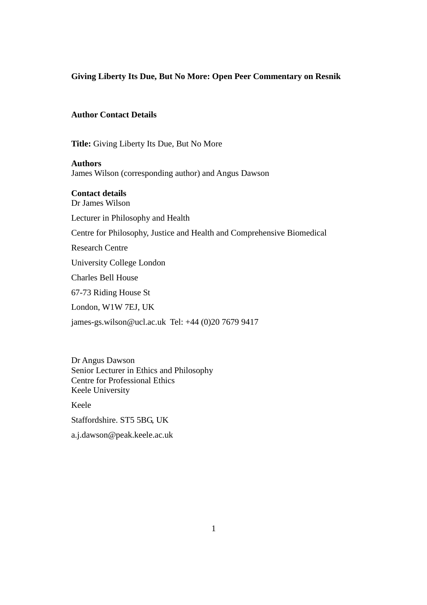#### **Giving Liberty Its Due, But No More: Open Peer Commentary on Resnik**

### **Author Contact Details**

**Title:** Giving Liberty Its Due, But No More

**Authors**

James Wilson (corresponding author) and Angus Dawson

#### **Contact details**

Dr James Wilson Lecturer in Philosophy and Health Centre for Philosophy, Justice and Health and Comprehensive Biomedical Research Centre University College London Charles Bell House 67-73 Riding House St London, W1W 7EJ, UK james-gs.wilson@ucl.ac.uk Tel: +44 (0)20 7679 9417

Dr Angus Dawson Senior Lecturer in Ethics and Philosophy Centre for Professional Ethics Keele University

Keele

Staffordshire. ST5 5BG, UK

a.j.dawson@peak.keele.ac.uk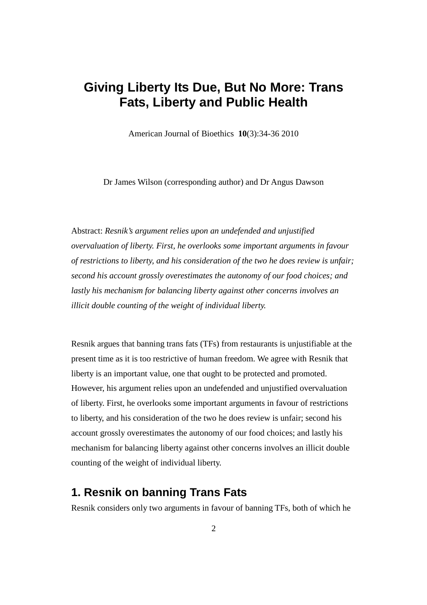# **Giving Liberty Its Due, But No More: Trans Fats, Liberty and Public Health**

American Journal of Bioethics **10**(3):34-36 2010

Dr James Wilson (corresponding author) and Dr Angus Dawson

Abstract: *Resnik's argument relies upon an undefended and unjustified overvaluation of liberty. First, he overlooks some important arguments in favour of restrictions to liberty, and his consideration of the two he does review is unfair; second his account grossly overestimates the autonomy of our food choices; and lastly his mechanism for balancing liberty against other concerns involves an illicit double counting of the weight of individual liberty.*

Resnik argues that banning trans fats (TFs) from restaurants is unjustifiable at the present time as it is too restrictive of human freedom. We agree with Resnik that liberty is an important value, one that ought to be protected and promoted. However, his argument relies upon an undefended and unjustified overvaluation of liberty. First, he overlooks some important arguments in favour of restrictions to liberty, and his consideration of the two he does review is unfair; second his account grossly overestimates the autonomy of our food choices; and lastly his mechanism for balancing liberty against other concerns involves an illicit double counting of the weight of individual liberty.

## **1. Resnik on banning Trans Fats**

Resnik considers only two arguments in favour of banning TFs, both of which he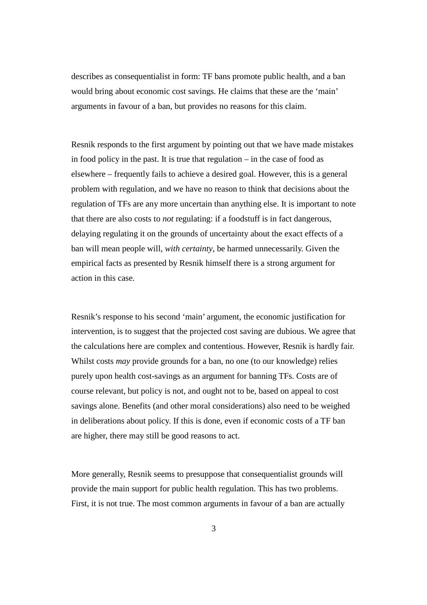describes as consequentialist in form: TF bans promote public health, and a ban would bring about economic cost savings. He claims that these are the 'main' arguments in favour of a ban, but provides no reasons for this claim.

Resnik responds to the first argument by pointing out that we have made mistakes in food policy in the past. It is true that regulation – in the case of food as elsewhere – frequently fails to achieve a desired goal. However, this is a general problem with regulation, and we have no reason to think that decisions about the regulation of TFs are any more uncertain than anything else. It is important to note that there are also costs to *not* regulating: if a foodstuff is in fact dangerous, delaying regulating it on the grounds of uncertainty about the exact effects of a ban will mean people will, *with certainty*, be harmed unnecessarily. Given the empirical facts as presented by Resnik himself there is a strong argument for action in this case.

Resnik's response to his second 'main' argument, the economic justification for intervention, is to suggest that the projected cost saving are dubious. We agree that the calculations here are complex and contentious. However, Resnik is hardly fair. Whilst costs *may* provide grounds for a ban, no one (to our knowledge) relies purely upon health cost-savings as an argument for banning TFs. Costs are of course relevant, but policy is not, and ought not to be, based on appeal to cost savings alone. Benefits (and other moral considerations) also need to be weighed in deliberations about policy. If this is done, even if economic costs of a TF ban are higher, there may still be good reasons to act.

More generally, Resnik seems to presuppose that consequentialist grounds will provide the main support for public health regulation. This has two problems. First, it is not true. The most common arguments in favour of a ban are actually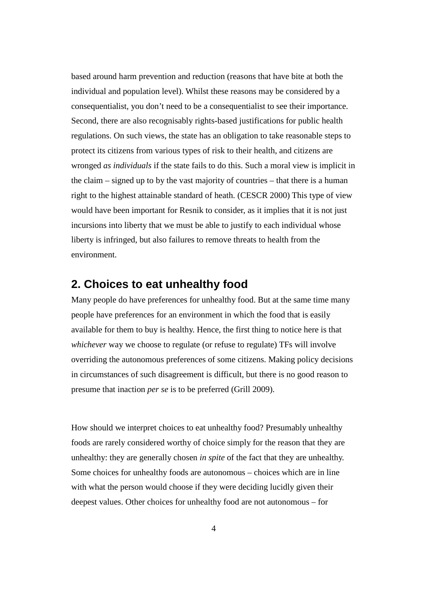based around harm prevention and reduction (reasons that have bite at both the individual and population level). Whilst these reasons may be considered by a consequentialist, you don't need to be a consequentialist to see their importance. Second, there are also recognisably rights-based justifications for public health regulations. On such views, the state has an obligation to take reasonable steps to protect its citizens from various types of risk to their health, and citizens are wronged *as individuals* if the state fails to do this. Such a moral view is implicit in the claim – signed up to by the vast majority of countries – that there is a human right to the highest attainable standard of heath. (CESCR 2000) This type of view would have been important for Resnik to consider, as it implies that it is not just incursions into liberty that we must be able to justify to each individual whose liberty is infringed, but also failures to remove threats to health from the environment.

### **2. Choices to eat unhealthy food**

Many people do have preferences for unhealthy food. But at the same time many people have preferences for an environment in which the food that is easily available for them to buy is healthy. Hence, the first thing to notice here is that *whichever* way we choose to regulate (or refuse to regulate) TFs will involve overriding the autonomous preferences of some citizens. Making policy decisions in circumstances of such disagreement is difficult, but there is no good reason to presume that inaction *per se* is to be preferred (Grill 2009).

How should we interpret choices to eat unhealthy food? Presumably unhealthy foods are rarely considered worthy of choice simply for the reason that they are unhealthy: they are generally chosen *in spite* of the fact that they are unhealthy. Some choices for unhealthy foods are autonomous – choices which are in line with what the person would choose if they were deciding lucidly given their deepest values. Other choices for unhealthy food are not autonomous – for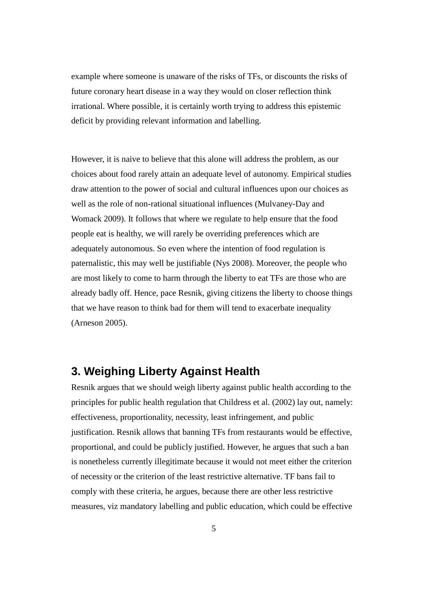example where someone is unaware of the risks of TFs, or discounts the risks of future coronary heart disease in a way they would on closer reflection think irrational. Where possible, it is certainly worth trying to address this epistemic deficit by providing relevant information and labelling.

However, it is naive to believe that this alone will address the problem, as our choices about food rarely attain an adequate level of autonomy. Empirical studies draw attention to the power of social and cultural influences upon our choices as well as the role of non-rational situational influences (Mulvaney-Day and Womack 2009). It follows that where we regulate to help ensure that the food people eat is healthy, we will rarely be overriding preferences which are adequately autonomous. So even where the intention of food regulation is paternalistic, this may well be justifiable (Nys 2008). Moreover, the people who are most likely to come to harm through the liberty to eat TFs are those who are already badly off. Hence, pace Resnik, giving citizens the liberty to choose things that we have reason to think bad for them will tend to exacerbate inequality (Arneson 2005).

### **3. Weighing Liberty Against Health**

Resnik argues that we should weigh liberty against public health according to the principles for public health regulation that Childress et al. (2002) lay out, namely: effectiveness, proportionality, necessity, least infringement, and public justification. Resnik allows that banning TFs from restaurants would be effective, proportional, and could be publicly justified. However, he argues that such a ban is nonetheless currently illegitimate because it would not meet either the criterion of necessity or the criterion of the least restrictive alternative. TF bans fail to comply with these criteria, he argues, because there are other less restrictive measures, viz mandatory labelling and public education, which could be effective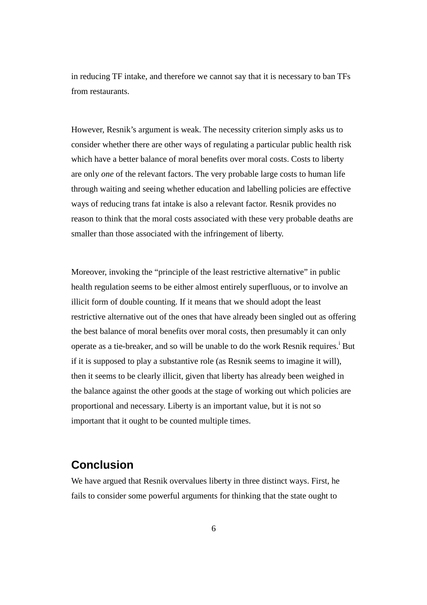in reducing TF intake, and therefore we cannot say that it is necessary to ban TFs from restaurants.

However, Resnik's argument is weak. The necessity criterion simply asks us to consider whether there are other ways of regulating a particular public health risk which have a better balance of moral benefits over moral costs. Costs to liberty are only *one* of the relevant factors. The very probable large costs to human life through waiting and seeing whether education and labelling policies are effective ways of reducing trans fat intake is also a relevant factor. Resnik provides no reason to think that the moral costs associated with these very probable deaths are smaller than those associated with the infringement of liberty.

Moreover, invoking the "principle of the least restrictive alternative" in public health regulation seems to be either almost entirely superfluous, or to involve an illicit form of double counting. If it means that we should adopt the least restrictive alternative out of the ones that have already been singled out as offering the best balance of moral benefits over moral costs, then presumably it can only operate as a tie-breaker, and so will be unable to do the work Resnik requires.<sup>1</sup> But if it is supposed to play a substantive role (as Resnik seems to imagine it will), then it seems to be clearly illicit, given that liberty has already been weighed in the balance against the other goods at the stage of working out which policies are proportional and necessary. Liberty is an important value, but it is not so important that it ought to be counted multiple times.

## **Conclusion**

We have argued that Resnik overvalues liberty in three distinct ways. First, he fails to consider some powerful arguments for thinking that the state ought to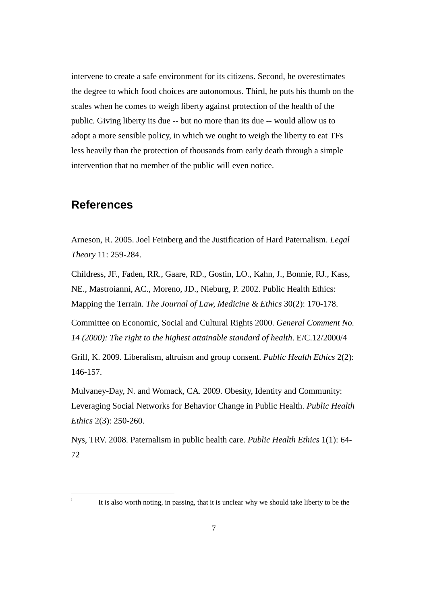intervene to create a safe environment for its citizens. Second, he overestimates the degree to which food choices are autonomous. Third, he puts his thumb on the scales when he comes to weigh liberty against protection of the health of the public. Giving liberty its due -- but no more than its due -- would allow us to adopt a more sensible policy, in which we ought to weigh the liberty to eat TFs less heavily than the protection of thousands from early death through a simple intervention that no member of the public will even notice.

## **References**

i

Arneson, R. 2005. Joel Feinberg and the Justification of Hard Paternalism. *Legal Theory* 11: 259-284.

Childress, JF., Faden, RR., Gaare, RD., Gostin, LO., Kahn, J., Bonnie, RJ., Kass, NE., Mastroianni, AC., Moreno, JD., Nieburg, P. 2002. Public Health Ethics: Mapping the Terrain. *The Journal of Law, Medicine & Ethics* 30(2): 170-178.

Committee on Economic, Social and Cultural Rights 2000. *General Comment No. 14 (2000): The right to the highest attainable standard of health*. E/C.12/2000/4

Grill, K. 2009. Liberalism, altruism and group consent. *Public Health Ethics* 2(2): 146-157.

Mulvaney-Day, N. and Womack, CA. 2009. Obesity, Identity and Community: Leveraging Social Networks for Behavior Change in Public Health. *Public Health Ethics* 2(3): 250-260.

Nys, TRV. 2008. Paternalism in public health care. *Public Health Ethics* 1(1): 64- 72

It is also worth noting, in passing, that it is unclear why we should take liberty to be the